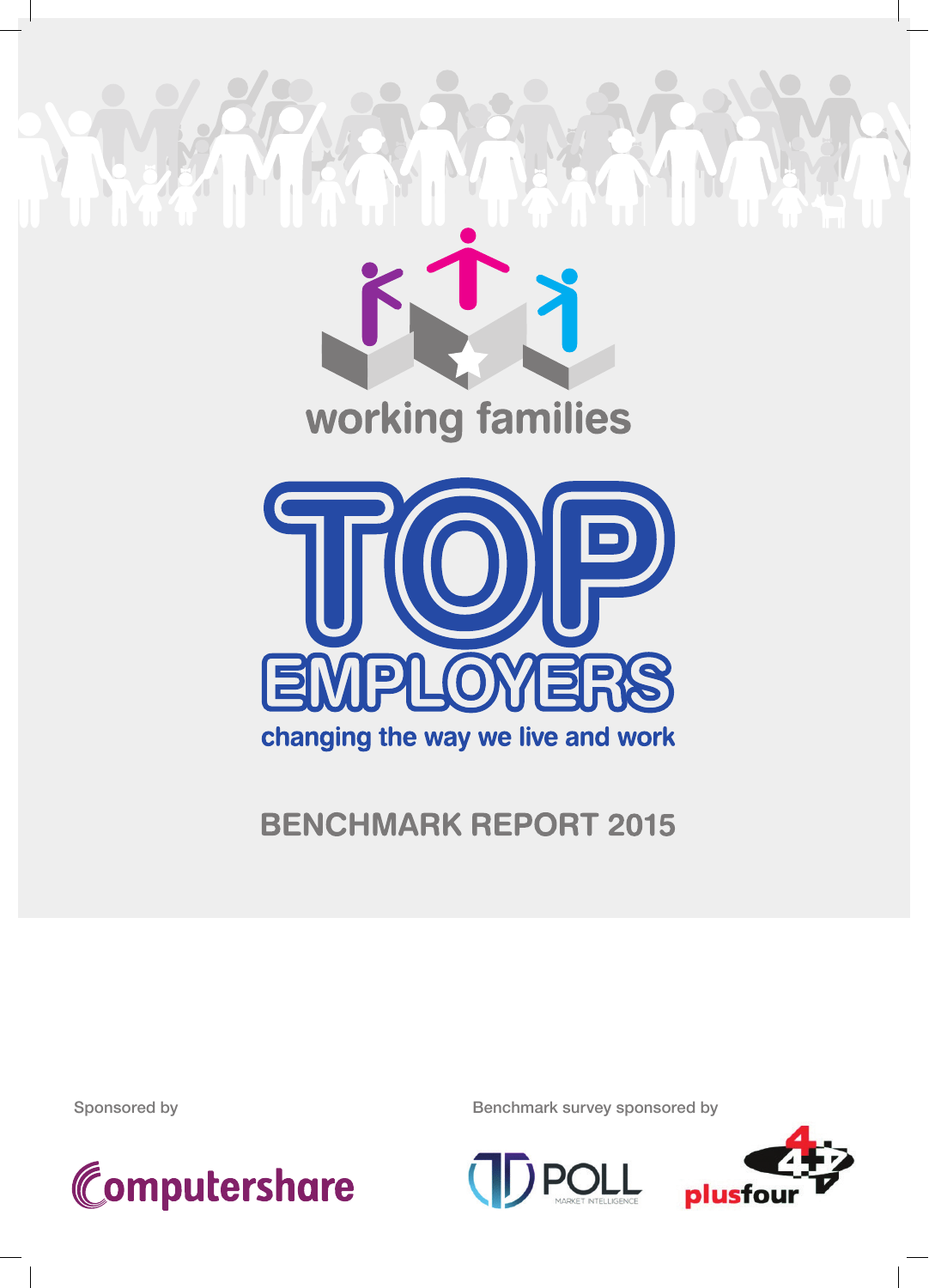

# working families



## **BENCHMARK REPORT 2015**



Sponsored by Sponsored by Benchmark survey sponsored by



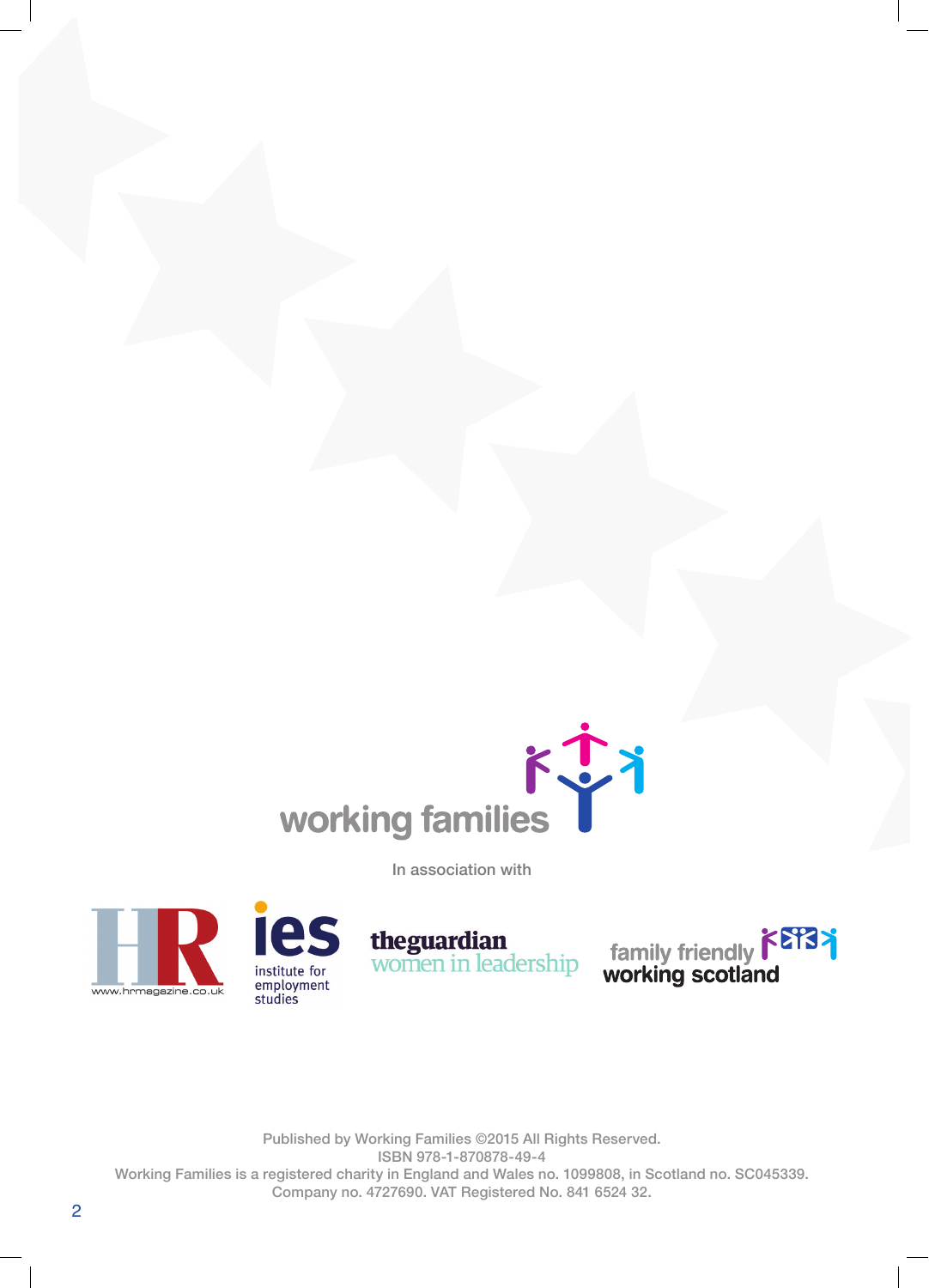



theguardian<br>women in leadership



Published by Working Families ©2015 All Rights Reserved. ISBN 978-1-870878-49-4 Working Families is a registered charity in England and Wales no. 1099808, in Scotland no. SC045339. Company no. 4727690. VAT Registered No. 841 6524 32.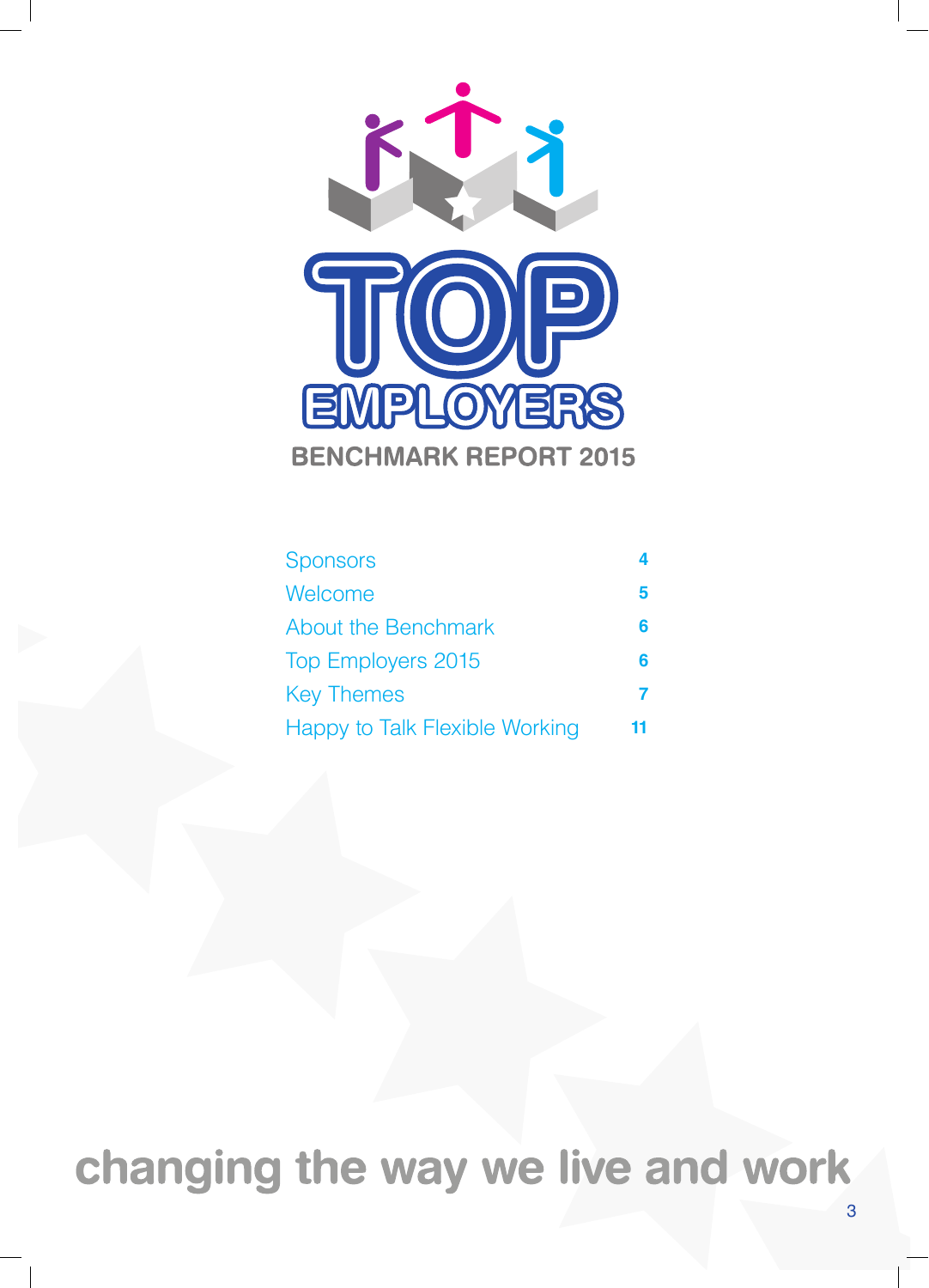

| <b>Sponsors</b>                | 4 |
|--------------------------------|---|
| Welcome                        | 5 |
| <b>About the Benchmark</b>     | 6 |
| <b>Top Employers 2015</b>      | 6 |
| <b>Key Themes</b>              |   |
| Happy to Talk Flexible Working |   |

changing the way we live and work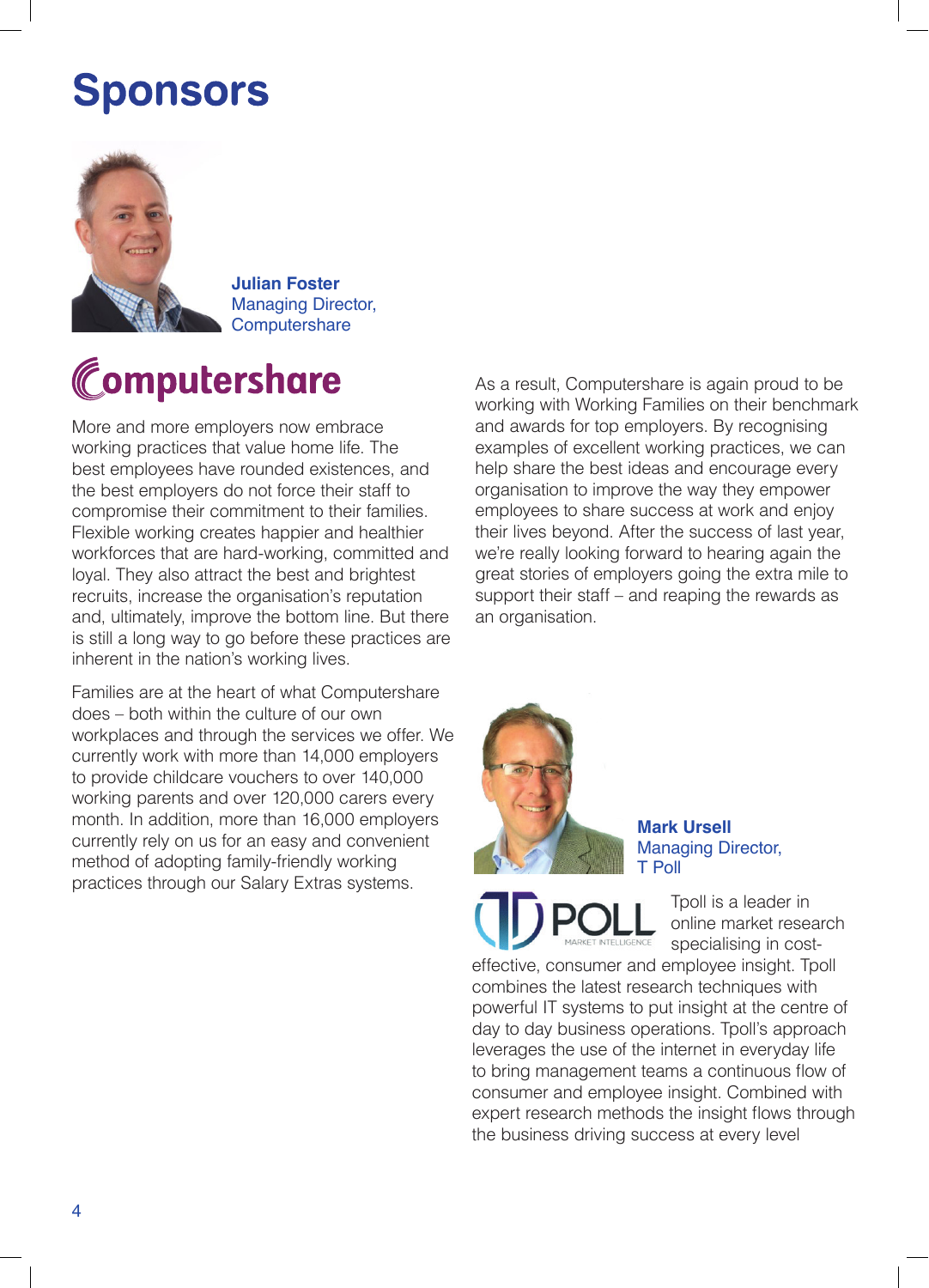# **Sponsors**



**Julian Foster** Managing Director, **Computershare** 

# Computershare

More and more employers now embrace working practices that value home life. The best employees have rounded existences, and the best employers do not force their staff to compromise their commitment to their families. Flexible working creates happier and healthier workforces that are hard-working, committed and loyal. They also attract the best and brightest recruits, increase the organisation's reputation and, ultimately, improve the bottom line. But there is still a long way to go before these practices are inherent in the nation's working lives.

Families are at the heart of what Computershare does – both within the culture of our own workplaces and through the services we offer. We currently work with more than 14,000 employers to provide childcare vouchers to over 140,000 working parents and over 120,000 carers every month. In addition, more than 16,000 employers currently rely on us for an easy and convenient method of adopting family-friendly working practices through our Salary Extras systems.

As a result, Computershare is again proud to be working with Working Families on their benchmark and awards for top employers. By recognising examples of excellent working practices, we can help share the best ideas and encourage every organisation to improve the way they empower employees to share success at work and enjoy their lives beyond. After the success of last year, we're really looking forward to hearing again the great stories of employers going the extra mile to support their staff – and reaping the rewards as an organisation.

![](_page_3_Picture_7.jpeg)

**Mark Ursell** Managing Director, T Poll

> Tpoll is a leader in online market research specialising in cost-

effective, consumer and employee insight. Tpoll combines the latest research techniques with powerful IT systems to put insight at the centre of day to day business operations. Tpoll's approach leverages the use of the internet in everyday life to bring management teams a continuous flow of consumer and employee insight. Combined with expert research methods the insight flows through the business driving success at every level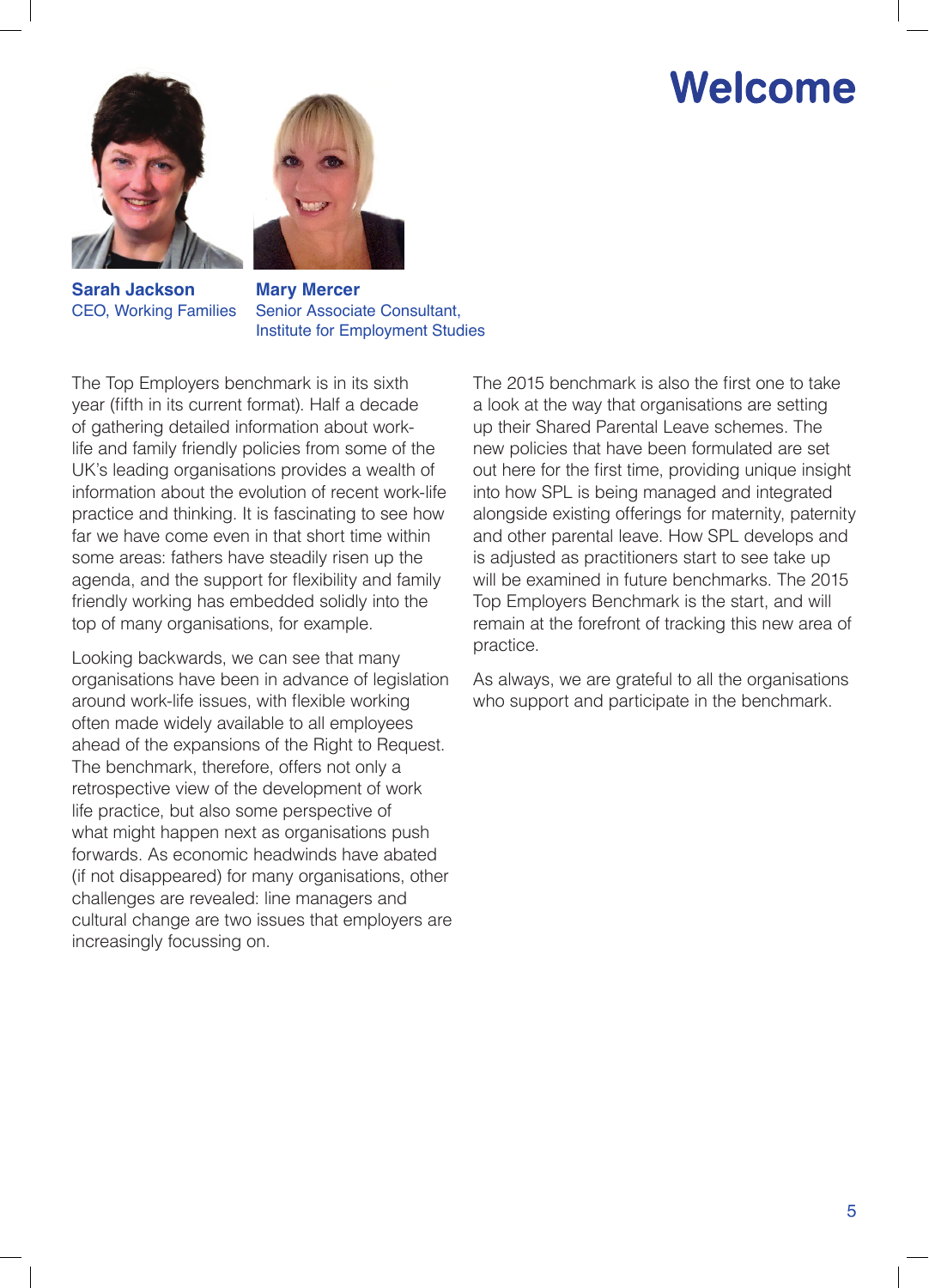# Welcome

![](_page_4_Picture_1.jpeg)

![](_page_4_Picture_2.jpeg)

**Sarah Jackson** CEO, Working Families

**Mary Mercer** Senior Associate Consultant, Institute for Employment Studies

The Top Employers benchmark is in its sixth year (fifth in its current format). Half a decade of gathering detailed information about worklife and family friendly policies from some of the UK's leading organisations provides a wealth of information about the evolution of recent work-life practice and thinking. It is fascinating to see how far we have come even in that short time within some areas: fathers have steadily risen up the agenda, and the support for flexibility and family friendly working has embedded solidly into the top of many organisations, for example.

Looking backwards, we can see that many organisations have been in advance of legislation around work-life issues, with flexible working often made widely available to all employees ahead of the expansions of the Right to Request. The benchmark, therefore, offers not only a retrospective view of the development of work life practice, but also some perspective of what might happen next as organisations push forwards. As economic headwinds have abated (if not disappeared) for many organisations, other challenges are revealed: line managers and cultural change are two issues that employers are increasingly focussing on.

The 2015 benchmark is also the first one to take a look at the way that organisations are setting up their Shared Parental Leave schemes. The new policies that have been formulated are set out here for the first time, providing unique insight into how SPL is being managed and integrated alongside existing offerings for maternity, paternity and other parental leave. How SPL develops and is adjusted as practitioners start to see take up will be examined in future benchmarks. The 2015 Top Employers Benchmark is the start, and will remain at the forefront of tracking this new area of practice.

As always, we are grateful to all the organisations who support and participate in the benchmark.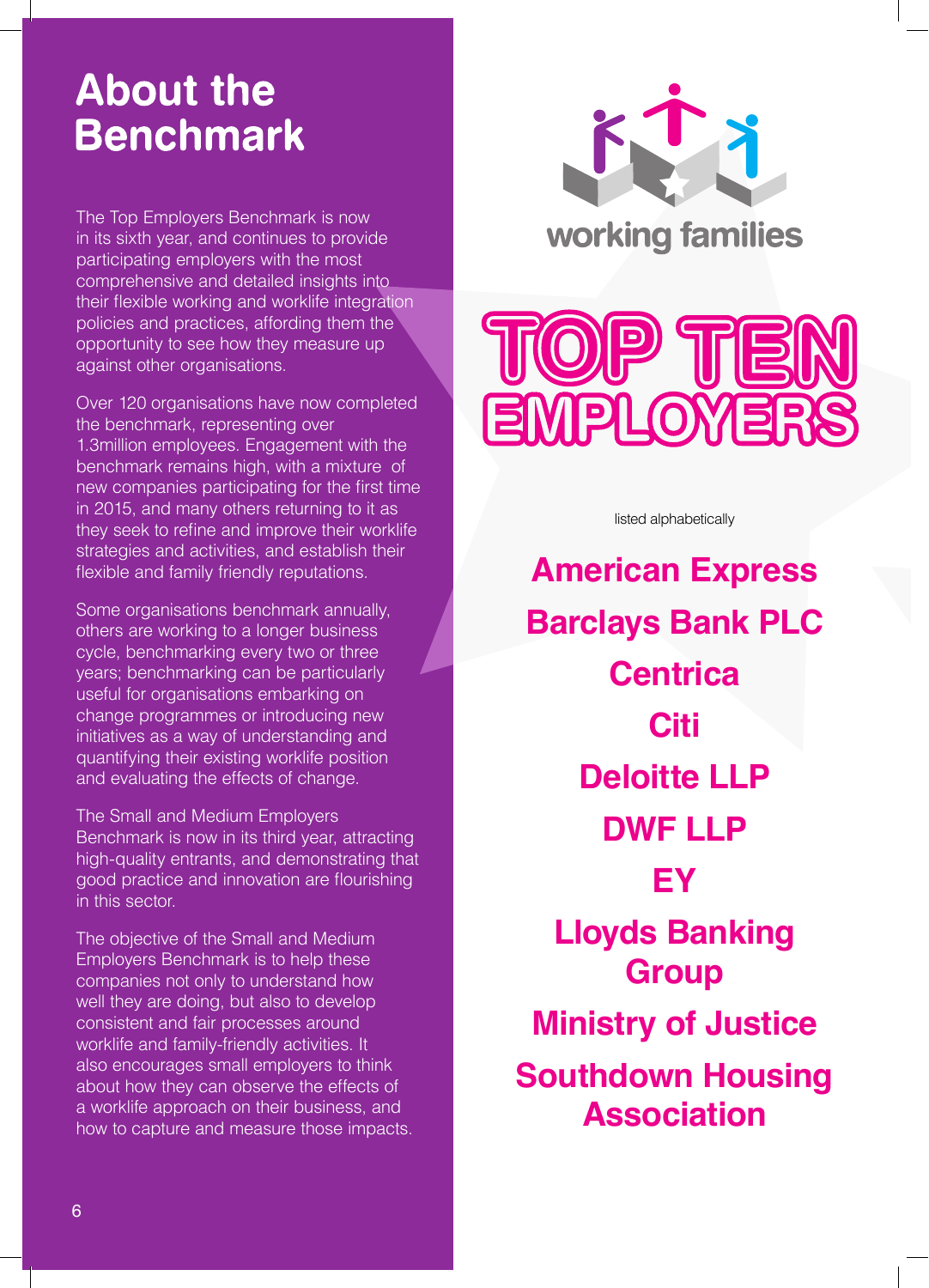# **About the Benchmark**

The Top Employers Benchmark is now in its sixth year, and continues to provide participating employers with the most comprehensive and detailed insights into their flexible working and worklife integration policies and practices, affording them the opportunity to see how they measure up against other organisations.

Over 120 organisations have now completed the benchmark, representing over 1.3million employees. Engagement with the benchmark remains high, with a mixture of new companies participating for the first time in 2015, and many others returning to it as they seek to refine and improve their worklife strategies and activities, and establish their flexible and family friendly reputations.

Some organisations benchmark annually, others are working to a longer business cycle, benchmarking every two or three years; benchmarking can be particularly useful for organisations embarking on change programmes or introducing new initiatives as a way of understanding and quantifying their existing worklife position and evaluating the effects of change.

The Small and Medium Employers Benchmark is now in its third year, attracting high-quality entrants, and demonstrating that good practice and innovation are flourishing in this sector.

The objective of the Small and Medium Employers Benchmark is to help these companies not only to understand how well they are doing, but also to develop consistent and fair processes around worklife and family-friendly activities. It also encourages small employers to think about how they can observe the effects of a worklife approach on their business, and how to capture and measure those impacts.

![](_page_5_Picture_6.jpeg)

![](_page_5_Picture_7.jpeg)

listed alphabetically

**American Express Barclays Bank PLC Centrica Citi Deloitte LLP DWF LLP EY Lloyds Banking Group Ministry of Justice Southdown Housing Association**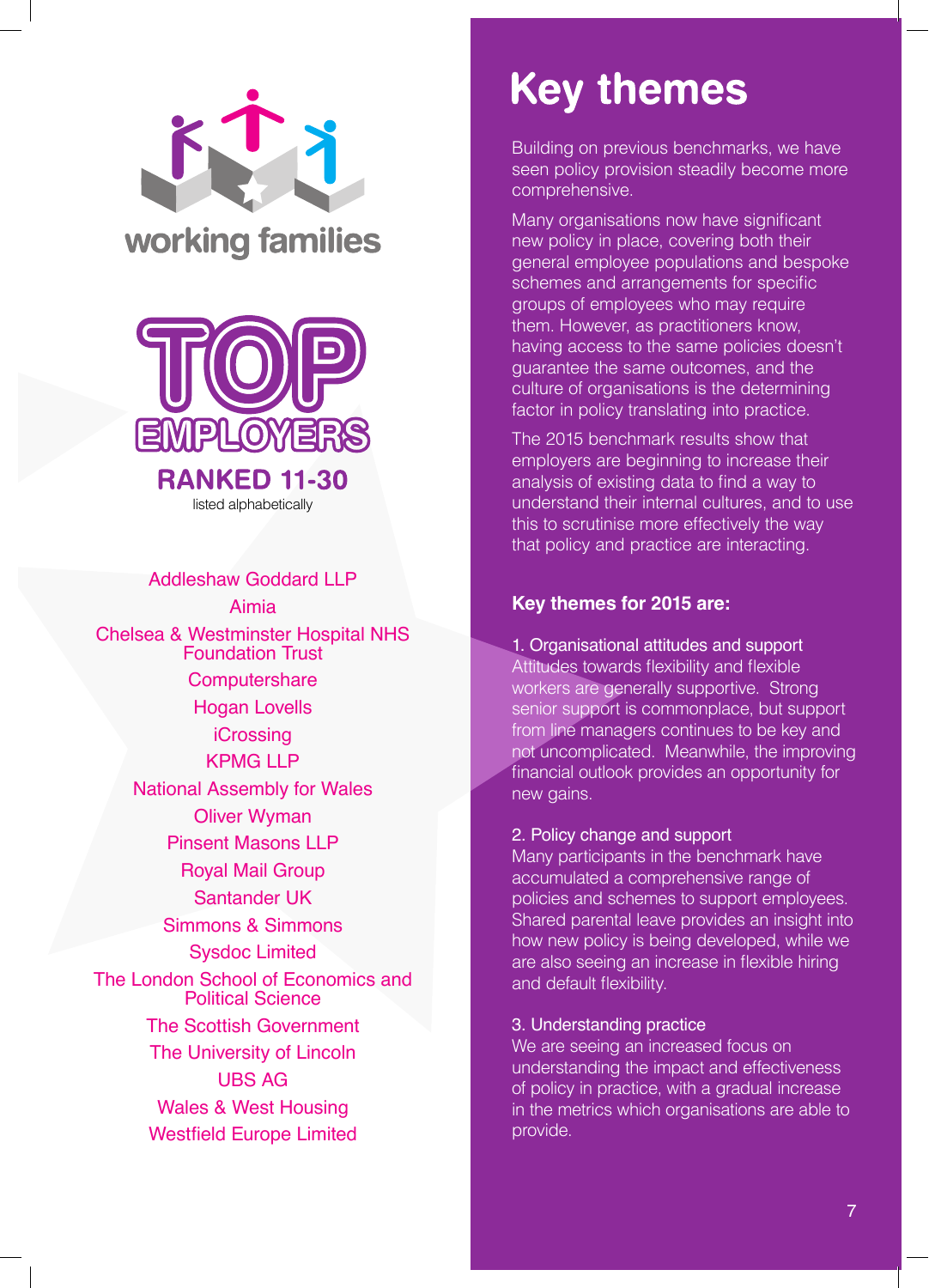![](_page_6_Picture_0.jpeg)

![](_page_6_Picture_1.jpeg)

Addleshaw Goddard LLP Aimia Chelsea & Westminster Hospital NHS Foundation Trust **Computershare** Hogan Lovells **iCrossing** KPMG I I P National Assembly for Wales Oliver Wyman Pinsent Masons LLP Royal Mail Group Santander UK Simmons & Simmons Sysdoc Limited The London School of Economics and Political Science The Scottish Government The University of Lincoln UBS AG Wales & West Housing Westfield Europe Limited

# **Key themes**

Building on previous benchmarks, we have seen policy provision steadily become more comprehensive.

Many organisations now have significant new policy in place, covering both their general employee populations and bespoke schemes and arrangements for specific groups of employees who may require them. However, as practitioners know, having access to the same policies doesn't guarantee the same outcomes, and the culture of organisations is the determining factor in policy translating into practice.

The 2015 benchmark results show that employers are beginning to increase their analysis of existing data to find a way to understand their internal cultures, and to use this to scrutinise more effectively the way that policy and practice are interacting.

#### **Key themes for 2015 are:**

1. Organisational attitudes and support Attitudes towards flexibility and flexible workers are generally supportive. Strong senior support is commonplace, but support from line managers continues to be key and not uncomplicated. Meanwhile, the improving financial outlook provides an opportunity for new gains.

#### 2. Policy change and support

Many participants in the benchmark have accumulated a comprehensive range of policies and schemes to support employees. Shared parental leave provides an insight into how new policy is being developed, while we are also seeing an increase in flexible hiring and default flexibility.

#### 3. Understanding practice

We are seeing an increased focus on understanding the impact and effectiveness of policy in practice, with a gradual increase in the metrics which organisations are able to provide.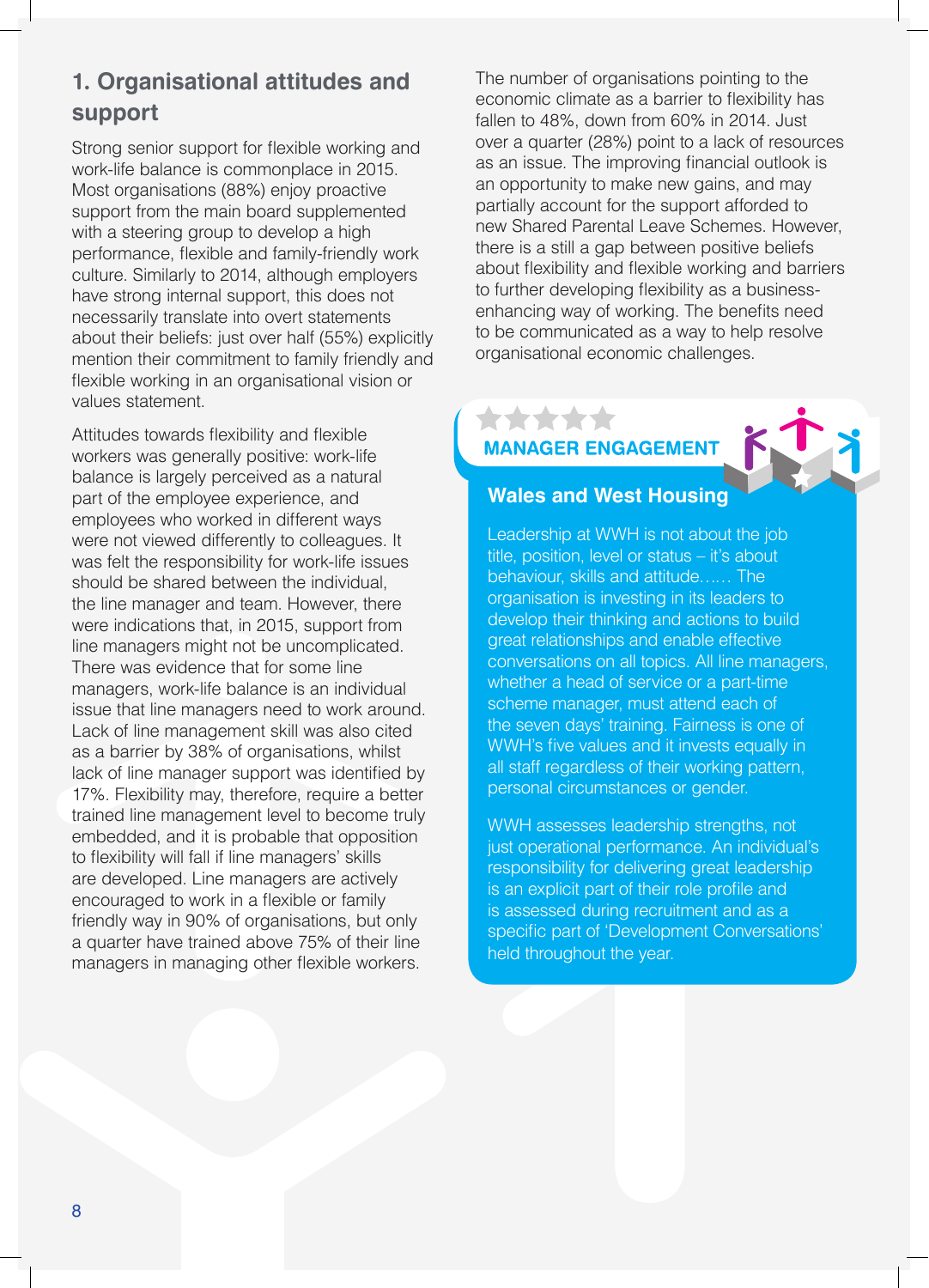### **1. Organisational attitudes and support**

Strong senior support for flexible working and work-life balance is commonplace in 2015. Most organisations (88%) enjoy proactive support from the main board supplemented with a steering group to develop a high performance, flexible and family-friendly work culture. Similarly to 2014, although employers have strong internal support, this does not necessarily translate into overt statements about their beliefs: just over half (55%) explicitly mention their commitment to family friendly and flexible working in an organisational vision or values statement.

Attitudes towards flexibility and flexible workers was generally positive: work-life balance is largely perceived as a natural part of the employee experience, and employees who worked in different ways were not viewed differently to colleagues. It was felt the responsibility for work-life issues should be shared between the individual, the line manager and team. However, there were indications that, in 2015, support from line managers might not be uncomplicated. There was evidence that for some line managers, work-life balance is an individual issue that line managers need to work around. Lack of line management skill was also cited as a barrier by 38% of organisations, whilst lack of line manager support was identified by 17%. Flexibility may, therefore, require a better trained line management level to become truly embedded, and it is probable that opposition to flexibility will fall if line managers' skills are developed. Line managers are actively encouraged to work in a flexible or family friendly way in 90% of organisations, but only a quarter have trained above 75% of their line managers in managing other flexible workers.

The number of organisations pointing to the economic climate as a barrier to flexibility has fallen to 48%, down from 60% in 2014. Just over a quarter (28%) point to a lack of resources as an issue. The improving financial outlook is an opportunity to make new gains, and may partially account for the support afforded to new Shared Parental Leave Schemes. However, there is a still a gap between positive beliefs about flexibility and flexible working and barriers to further developing flexibility as a businessenhancing way of working. The benefits need to be communicated as a way to help resolve organisational economic challenges.

### \*\*\*\*\* **MANAGER ENGAGEMENT**

![](_page_7_Picture_5.jpeg)

Leadership at WWH is not about the job title, position, level or status – it's about behaviour, skills and attitude…… The organisation is investing in its leaders to develop their thinking and actions to build great relationships and enable effective conversations on all topics. All line managers, whether a head of service or a part-time scheme manager, must attend each of the seven days' training. Fairness is one of WWH's five values and it invests equally in all staff regardless of their working pattern, personal circumstances or gender.

WWH assesses leadership strengths, not just operational performance. An individual's responsibility for delivering great leadership is an explicit part of their role profile and is assessed during recruitment and as a specific part of 'Development Conversations' held throughout the year.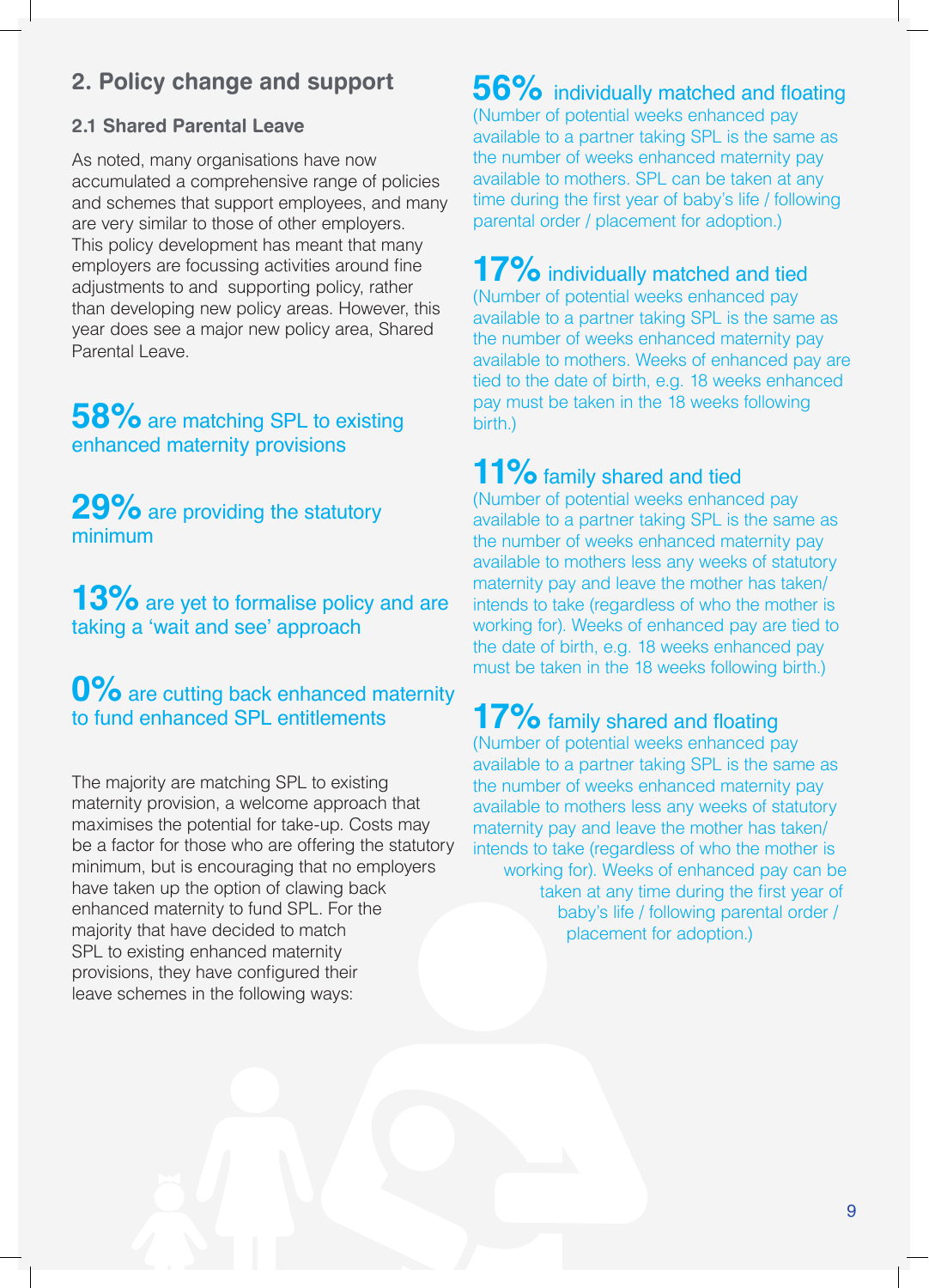### **2. Policy change and support**

### **2.1 Shared Parental Leave**

As noted, many organisations have now accumulated a comprehensive range of policies and schemes that support employees, and many are very similar to those of other employers. This policy development has meant that many employers are focussing activities around fine adjustments to and supporting policy, rather than developing new policy areas. However, this year does see a major new policy area, Shared Parental Leave.

### **58%** are matching SPL to existing enhanced maternity provisions

**29%** are providing the statutory minimum

**13%** are yet to formalise policy and are taking a 'wait and see' approach

### **0%** are cutting back enhanced maternity to fund enhanced SPL entitlements

The majority are matching SPL to existing maternity provision, a welcome approach that maximises the potential for take-up. Costs may be a factor for those who are offering the statutory minimum, but is encouraging that no employers have taken up the option of clawing back enhanced maternity to fund SPL. For the majority that have decided to match SPL to existing enhanced maternity provisions, they have configured their leave schemes in the following ways:

**56%** individually matched and floating (Number of potential weeks enhanced pay available to a partner taking SPL is the same as the number of weeks enhanced maternity pay available to mothers. SPL can be taken at any time during the first year of baby's life / following parental order / placement for adoption.)

**17%** individually matched and tied

(Number of potential weeks enhanced pay available to a partner taking SPL is the same as the number of weeks enhanced maternity pay available to mothers. Weeks of enhanced pay are tied to the date of birth, e.g. 18 weeks enhanced pay must be taken in the 18 weeks following birth.)

### 11% family shared and tied

(Number of potential weeks enhanced pay available to a partner taking SPL is the same as the number of weeks enhanced maternity pay available to mothers less any weeks of statutory maternity pay and leave the mother has taken/ intends to take (regardless of who the mother is working for). Weeks of enhanced pay are tied to the date of birth, e.g. 18 weeks enhanced pay must be taken in the 18 weeks following birth.)

### **17%** family shared and floating

(Number of potential weeks enhanced pay available to a partner taking SPL is the same as the number of weeks enhanced maternity pay available to mothers less any weeks of statutory maternity pay and leave the mother has taken/ intends to take (regardless of who the mother is working for). Weeks of enhanced pay can be taken at any time during the first year of baby's life / following parental order / placement for adoption.)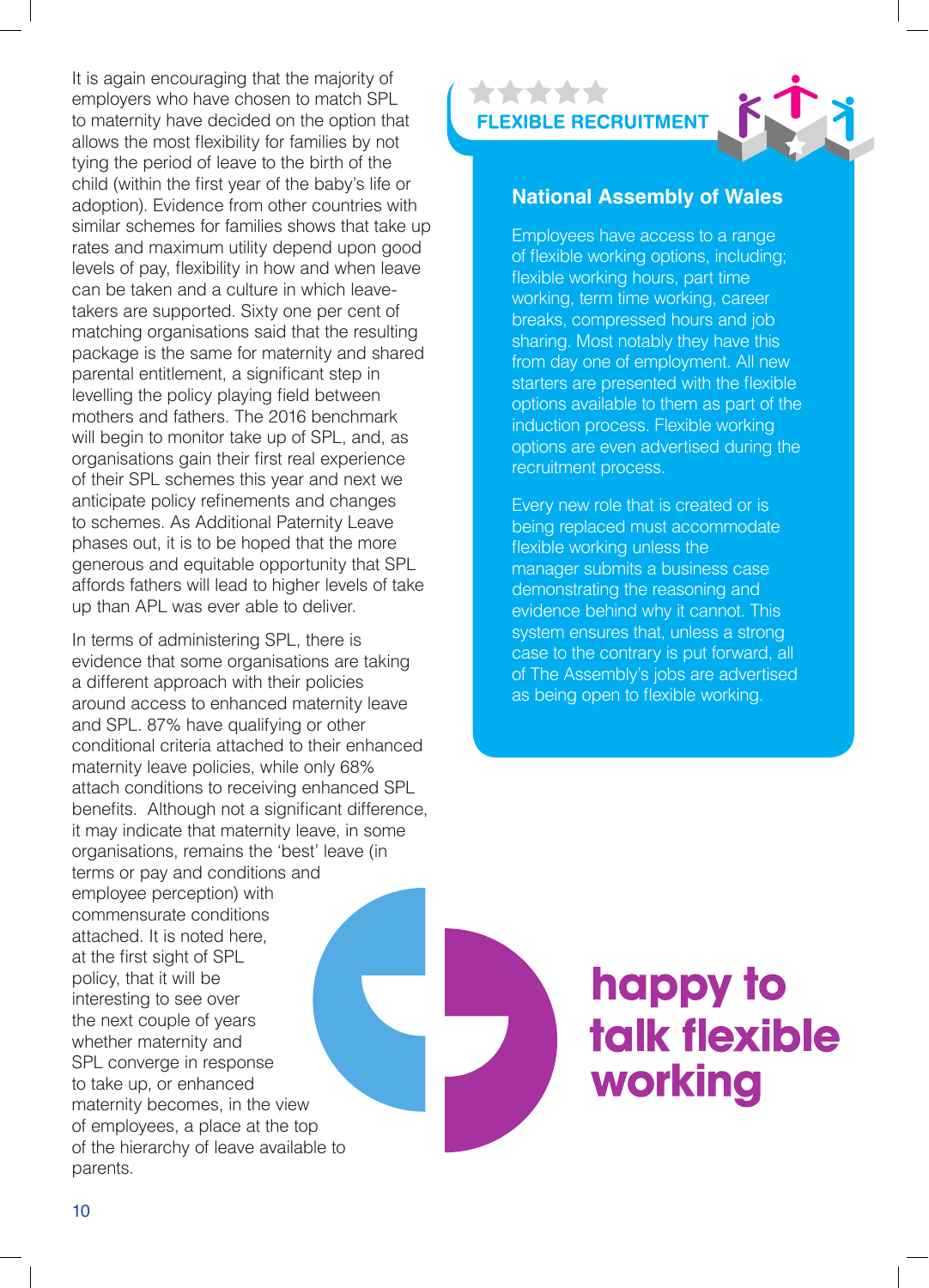It is again encouraging that the majority of employers who have chosen to match SPL to maternity have decided on the option that allows the most flexibility for families by not tying the period of leave to the birth of the child (within the first year of the baby's life or adoption). Evidence from other countries with similar schemes for families shows that take up rates and maximum utility depend upon good levels of pay, flexibility in how and when leave can be taken and a culture in which leavetakers are supported. Sixty one per cent of matching organisations said that the resulting package is the same for maternity and shared parental entitlement, a significant step in levelling the policy playing field between mothers and fathers. The 2016 benchmark will begin to monitor take up of SPL, and, as organisations gain their first real experience of their SPL schemes this year and next we anticipate policy refinements and changes to schemes. As Additional Paternity Leave phases out, it is to be hoped that the more generous and equitable opportunity that SPL affords fathers will lead to higher levels of take up than APL was ever able to deliver.

In terms of administering SPL, there is evidence that some organisations are taking a different approach with their policies around access to enhanced maternity leave and SPL. 87% have qualifying or other conditional criteria attached to their enhanced maternity leave policies, while only 68% attach conditions to receiving enhanced SPL benefits. Although not a significant difference, it may indicate that maternity leave, in some organisations, remains the 'best' leave (in terms or pay and conditions and employee perception) with commensurate conditions attached. It is noted here, at the first sight of SPL policy, that it will be interesting to see over the next couple of years whether maternity and SPL converge in response to take up, or enhanced maternity becomes, in the view of employees, a place at the top of the hierarchy of leave available to parents.

\*\*\*\*\* **FLEXIBLE RECRUITMENT** 

![](_page_9_Picture_3.jpeg)

#### **National Assembly of Wales**

Employees have access to a range of flexible working options, including; flexible working hours, part time working, term time working, career breaks, compressed hours and job sharing. Most notably they have this from day one of employment. All new starters are presented with the flexible options available to them as part of the induction process. Flexible working options are even advertised during the recruitment process.

Every new role that is created or is being replaced must accommodate flexible working unless the manager submits a business case demonstrating the reasoning and evidence behind why it cannot. This system ensures that, unless a strong case to the contrary is put forward, all of The Assembly's jobs are advertised as being open to flexible working.

![](_page_9_Picture_7.jpeg)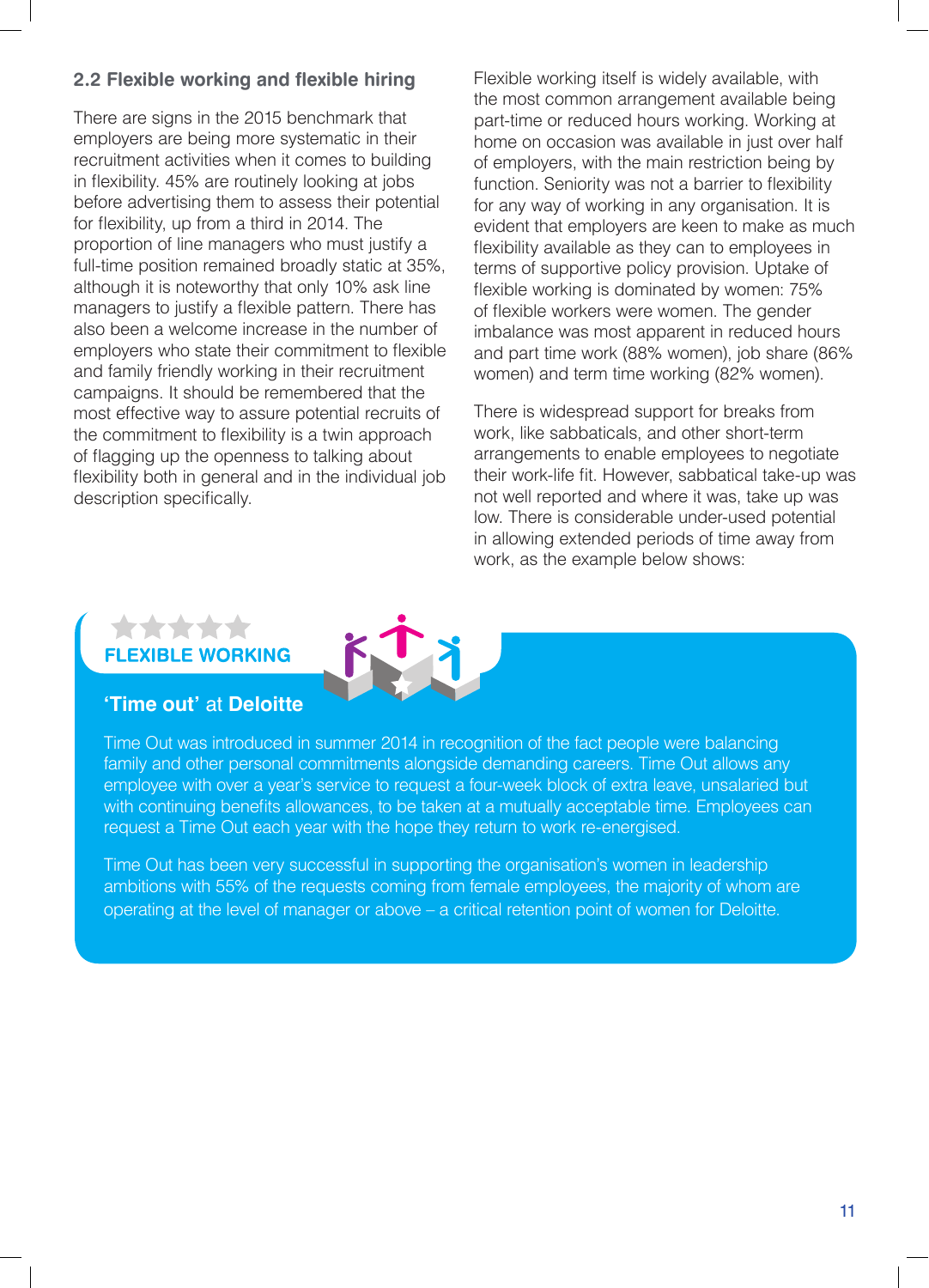### **2.2 Flexible working and flexible hiring**

There are signs in the 2015 benchmark that employers are being more systematic in their recruitment activities when it comes to building in flexibility. 45% are routinely looking at jobs before advertising them to assess their potential for flexibility, up from a third in 2014. The proportion of line managers who must justify a full-time position remained broadly static at 35%, although it is noteworthy that only 10% ask line managers to justify a flexible pattern. There has also been a welcome increase in the number of employers who state their commitment to flexible and family friendly working in their recruitment campaigns. It should be remembered that the most effective way to assure potential recruits of the commitment to flexibility is a twin approach of flagging up the openness to talking about flexibility both in general and in the individual job description specifically.

Flexible working itself is widely available, with the most common arrangement available being part-time or reduced hours working. Working at home on occasion was available in just over half of employers, with the main restriction being by function. Seniority was not a barrier to flexibility for any way of working in any organisation. It is evident that employers are keen to make as much flexibility available as they can to employees in terms of supportive policy provision. Uptake of flexible working is dominated by women: 75% of flexible workers were women. The gender imbalance was most apparent in reduced hours and part time work (88% women), job share (86% women) and term time working (82% women).

There is widespread support for breaks from work, like sabbaticals, and other short-term arrangements to enable employees to negotiate their work-life fit. However, sabbatical take-up was not well reported and where it was, take up was low. There is considerable under-used potential in allowing extended periods of time away from work, as the example below shows:

# **E WORKING**

### **'Time out'** at **Deloitte**

Time Out was introduced in summer 2014 in recognition of the fact people were balancing family and other personal commitments alongside demanding careers. Time Out allows any employee with over a year's service to request a four-week block of extra leave, unsalaried but with continuing benefits allowances, to be taken at a mutually acceptable time. Employees can request a Time Out each year with the hope they return to work re-energised.

Time Out has been very successful in supporting the organisation's women in leadership ambitions with 55% of the requests coming from female employees, the majority of whom are operating at the level of manager or above – a critical retention point of women for Deloitte.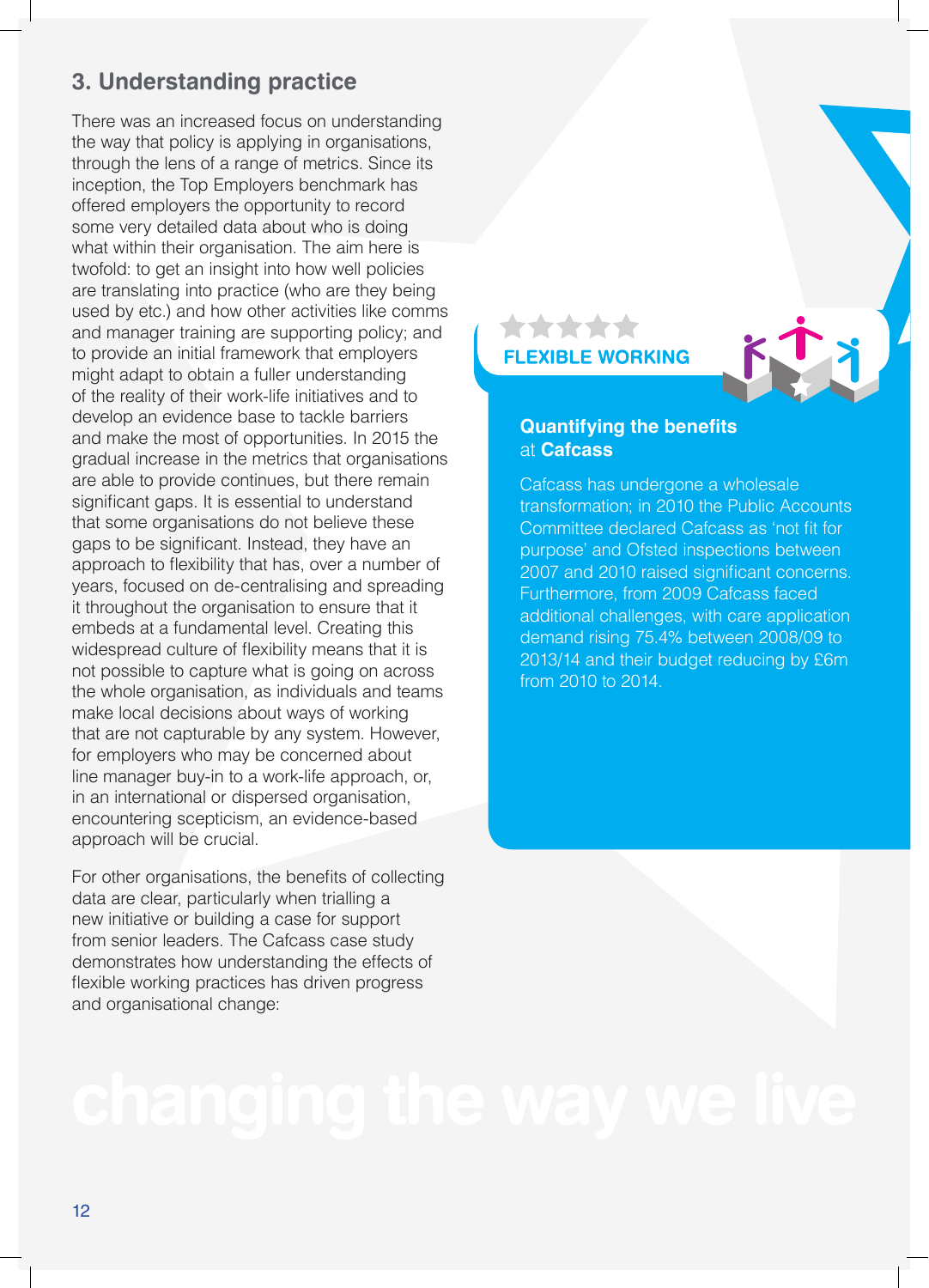### **3. Understanding practice**

There was an increased focus on understanding the way that policy is applying in organisations, through the lens of a range of metrics. Since its inception, the Top Employers benchmark has offered employers the opportunity to record some very detailed data about who is doing what within their organisation. The aim here is twofold: to get an insight into how well policies are translating into practice (who are they being used by etc.) and how other activities like comms and manager training are supporting policy; and to provide an initial framework that employers might adapt to obtain a fuller understanding of the reality of their work-life initiatives and to develop an evidence base to tackle barriers and make the most of opportunities. In 2015 the gradual increase in the metrics that organisations are able to provide continues, but there remain significant gaps. It is essential to understand that some organisations do not believe these gaps to be significant. Instead, they have an approach to flexibility that has, over a number of years, focused on de-centralising and spreading it throughout the organisation to ensure that it embeds at a fundamental level. Creating this widespread culture of flexibility means that it is not possible to capture what is going on across the whole organisation, as individuals and teams make local decisions about ways of working that are not capturable by any system. However, for employers who may be concerned about line manager buy-in to a work-life approach, or, in an international or dispersed organisation, encountering scepticism, an evidence-based approach will be crucial.

For other organisations, the benefits of collecting data are clear, particularly when trialling a new initiative or building a case for support from senior leaders. The Cafcass case study demonstrates how understanding the effects of flexible working practices has driven progress and organisational change:

#### **FLEXIBLE WORKING**

**\*\*\*\*\*** 

![](_page_11_Picture_4.jpeg)

#### **Quantifying the benefits**  at **Cafcass**

Cafcass has undergone a wholesale transformation; in 2010 the Public Accounts Committee declared Cafcass as 'not fit for purpose' and Ofsted inspections between 2007 and 2010 raised significant concerns. Furthermore, from 2009 Cafcass faced additional challenges, with care application demand rising 75.4% between 2008/09 to 2013/14 and their budget reducing by £6m from 2010 to 2014.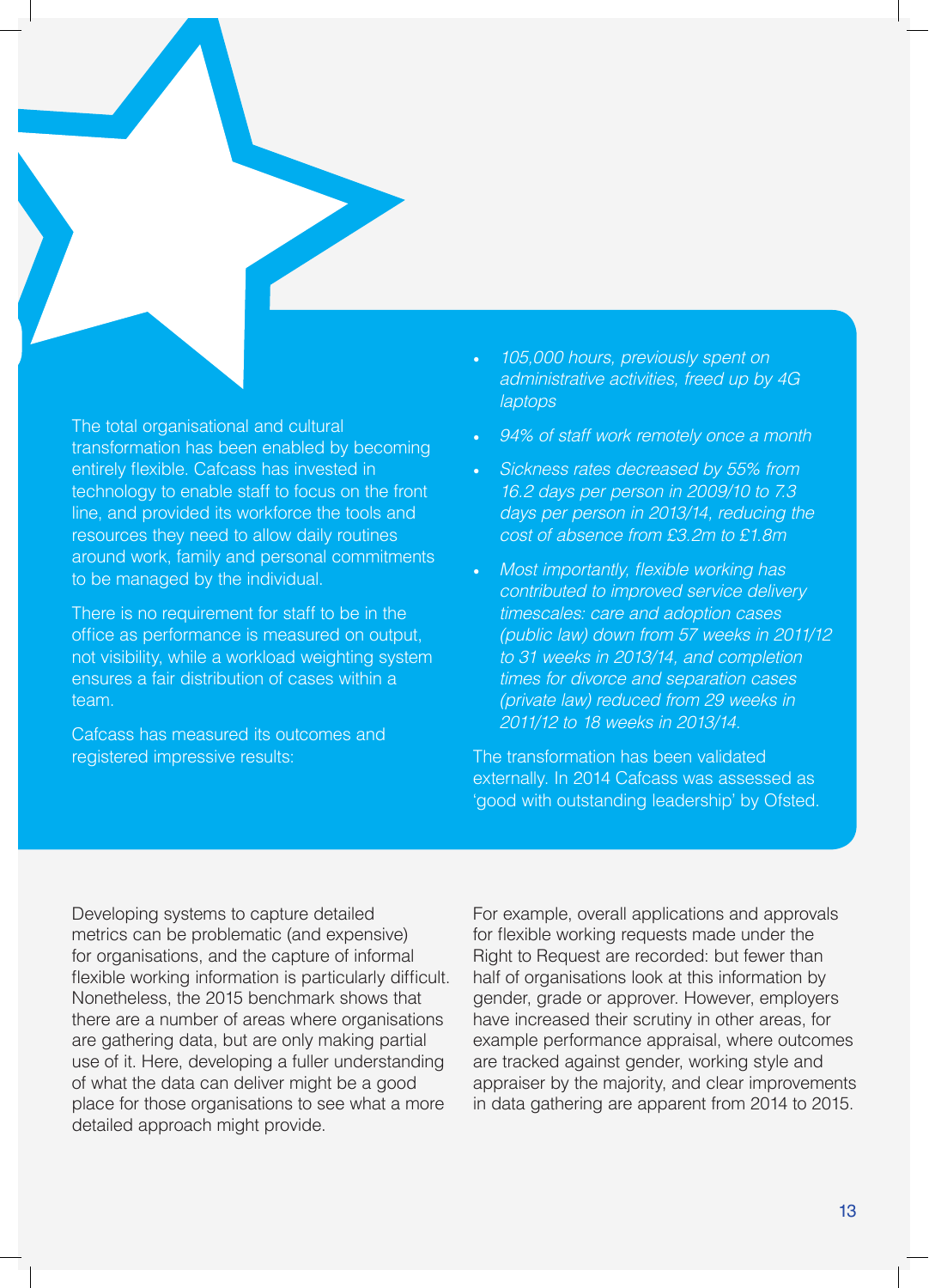![](_page_12_Picture_0.jpeg)

The total organisational and cultural transformation has been enabled by becoming entirely flexible. Cafcass has invested in technology to enable staff to focus on the front line, and provided its workforce the tools and resources they need to allow daily routines around work, family and personal commitments to be managed by the individual.

There is no requirement for staff to be in the office as performance is measured on output, not visibility, while a workload weighting system ensures a fair distribution of cases within a team.

Cafcass has measured its outcomes and registered impressive results:

- *105,000 hours, previously spent on administrative activities, freed up by 4G laptops*
- *94% of staff work remotely once a month*
- *Sickness rates decreased by 55% from 16.2 days per person in 2009/10 to 7.3 days per person in 2013/14, reducing the cost of absence from £3.2m to £1.8m*
- Most importantly, flexible working has *contributed to improved service delivery timescales: care and adoption cases (public law) down from 57 weeks in 2011/12 to 31 weeks in 2013/14, and completion times for divorce and separation cases (private law) reduced from 29 weeks in 2011/12 to 18 weeks in 2013/14.*

The transformation has been validated externally. In 2014 Cafcass was assessed as 'good with outstanding leadership' by Ofsted.

Developing systems to capture detailed metrics can be problematic (and expensive) for organisations, and the capture of informal flexible working information is particularly difficult. Nonetheless, the 2015 benchmark shows that there are a number of areas where organisations are gathering data, but are only making partial use of it. Here, developing a fuller understanding of what the data can deliver might be a good place for those organisations to see what a more detailed approach might provide.

For example, overall applications and approvals for flexible working requests made under the Right to Request are recorded: but fewer than half of organisations look at this information by gender, grade or approver. However, employers have increased their scrutiny in other areas, for example performance appraisal, where outcomes are tracked against gender, working style and appraiser by the majority, and clear improvements in data gathering are apparent from 2014 to 2015.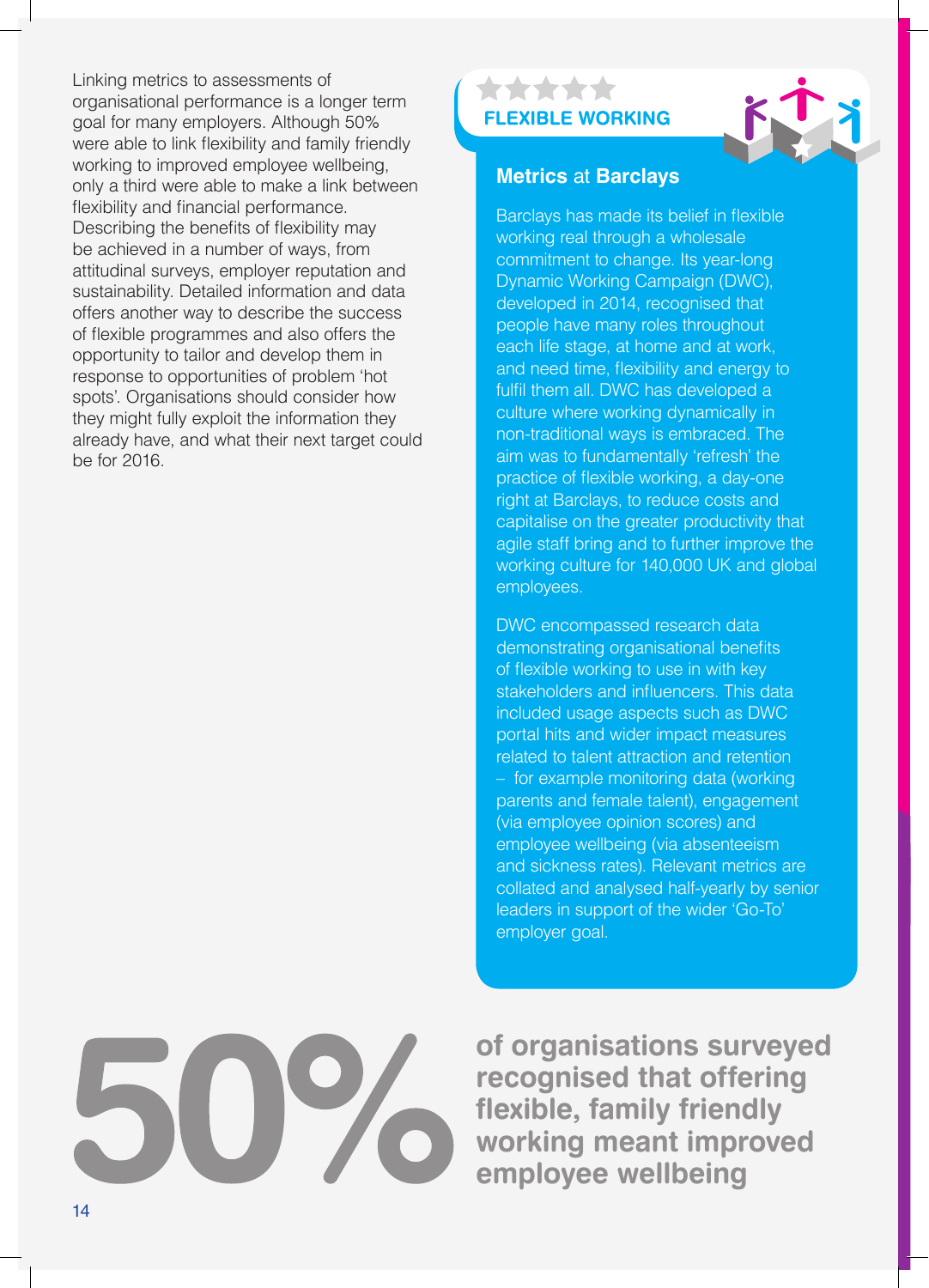Linking metrics to assessments of organisational performance is a longer term goal for many employers. Although 50% were able to link flexibility and family friendly working to improved employee wellbeing, only a third were able to make a link between flexibility and financial performance. Describing the benefits of flexibility may be achieved in a number of ways, from attitudinal surveys, employer reputation and sustainability. Detailed information and data offers another way to describe the success of flexible programmes and also offers the opportunity to tailor and develop them in response to opportunities of problem 'hot spots'. Organisations should consider how they might fully exploit the information they already have, and what their next target could be for 2016.

### \*\*\*\*\* **FLEXIBLE WORKING**

![](_page_13_Picture_2.jpeg)

### **Metrics** at **Barclays**

Barclays has made its belief in flexible working real through a wholesale commitment to change. Its year-long Dynamic Working Campaign (DWC), developed in 2014, recognised that people have many roles throughout each life stage, at home and at work, and need time, flexibility and energy to fulfil them all. DWC has developed a culture where working dynamically in non-traditional ways is embraced. The aim was to fundamentally 'refresh' the practice of flexible working, a day-one right at Barclays, to reduce costs and capitalise on the greater productivity that agile staff bring and to further improve the working culture for 140,000 UK and global employees.

DWC encompassed research data demonstrating organisational benefits of flexible working to use in with key stakeholders and influencers. This data included usage aspects such as DWC portal hits and wider impact measures related to talent attraction and retention – for example monitoring data (working parents and female talent), engagement (via employee opinion scores) and employee wellbeing (via absenteeism and sickness rates). Relevant metrics are collated and analysed half-yearly by senior leaders in support of the wider 'Go-To' employer goal.

![](_page_13_Picture_6.jpeg)

**of organisations surveyed recognised that offering flexible, family friendly working meant improved employee wellbeing**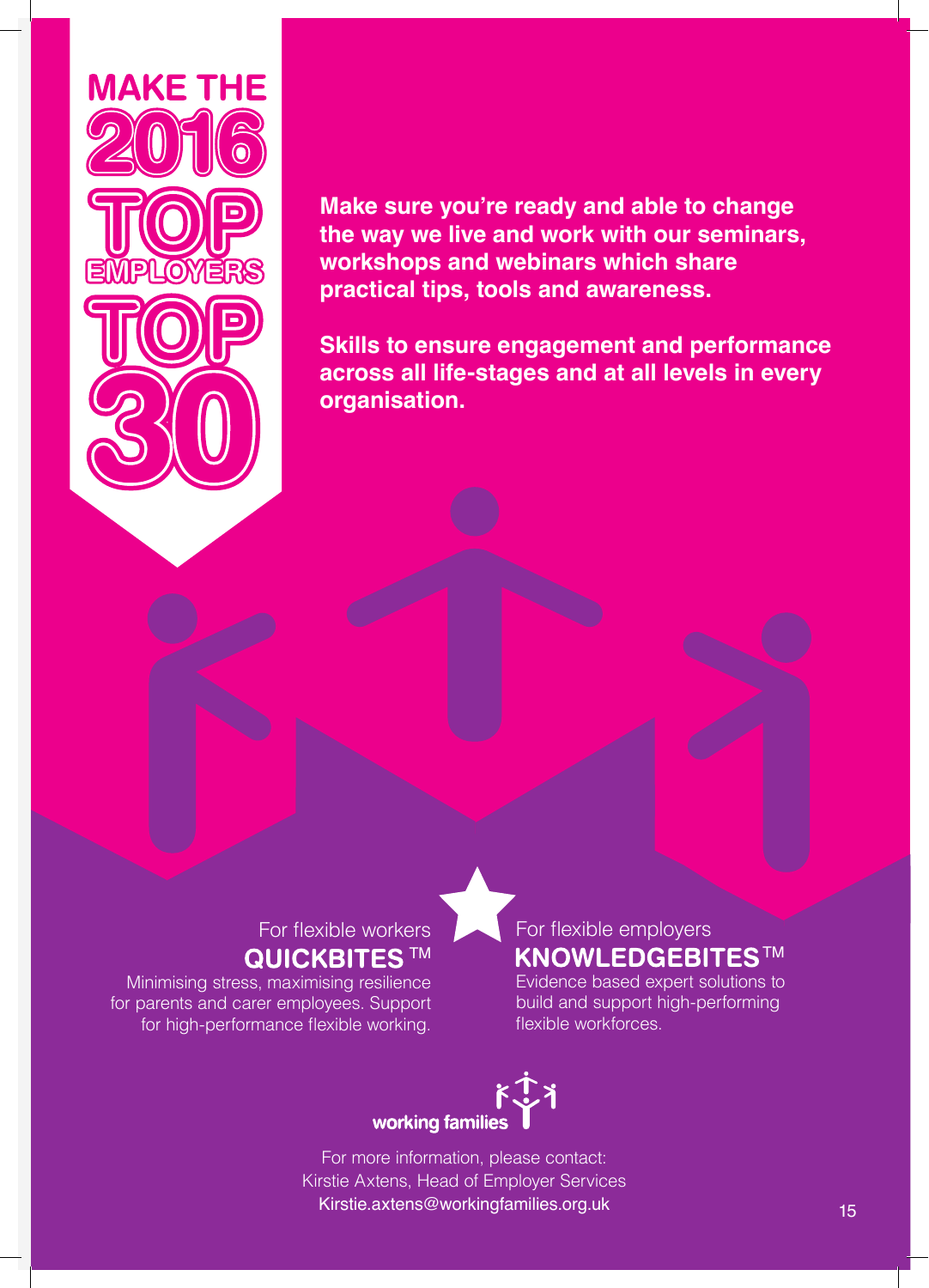![](_page_14_Picture_0.jpeg)

### **Make sure you're ready and able to change the way we live and work with our seminars, workshops and webinars which share practical tips, tools and awareness.**

**Skills to ensure engagement and performance across all life-stages and at all levels in every organisation.**

### For flexible workers **QUICKBITES™**

Minimising stress, maximising resilience for parents and carer employees. Support for high-performance flexible working.

### For flexible employers **KNOWLEDGEBITESTM**

Evidence based expert solutions to build and support high-performing flexible workforces.

# working families

For more information, please contact: Kirstie Axtens, Head of Employer Services Kirstie.axtens@workingfamilies.org.uk